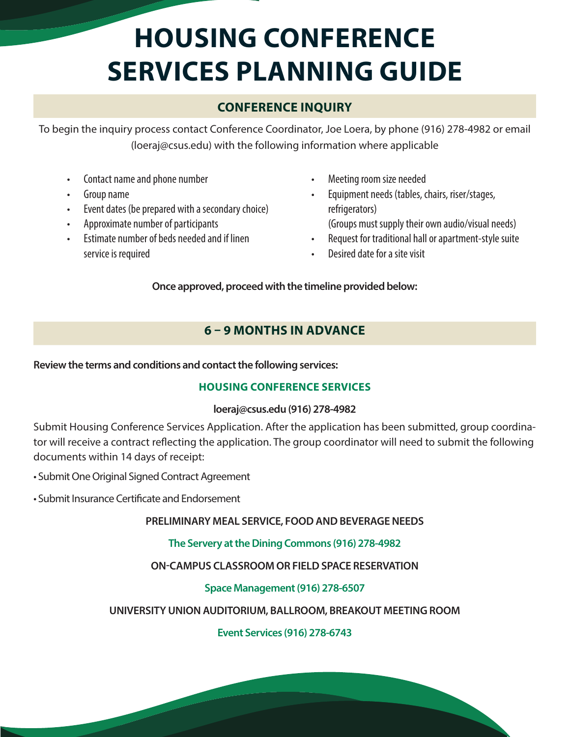# **HOUSING CONFERENCE SERVICES PLANNING GUIDE**

# **CONFERENCE INQUIRY**

To begin the inquiry process contact Conference Coordinator, Joe Loera, by phone (916) 278-4982 or email (loeraj@csus.edu) with the following information where applicable

- Contact name and phone number
- Group name
- Event dates (be prepared with a secondary choice)
- Approximate number of participants
- Estimate number of beds needed and if linen service is required
- Meeting room size needed
- Equipment needs (tables, chairs, riser/stages, refrigerators) (Groups must supply their own audio/visual needs)
- Request for traditional hall or apartment-style suite
- Desired date for a site visit

**Once approved, proceed with the timeline provided below:**

# **6 – 9 MONTHS IN ADVANCE**

**Review the terms and conditions and contact the following services:**

## **HOUSING CONFERENCE SERVICES**

#### **loeraj@csus.edu (916) 278-4982**

Submit Housing Conference Services Application. After the application has been submitted, group coordinator will receive a contract reflecting the application. The group coordinator will need to submit the following documents within 14 days of receipt:

- Submit One Original Signed Contract Agreement
- Submit Insurance Certificate and Endorsement

## **PRELIMINARY MEAL SERVICE, FOOD AND BEVERAGE NEEDS**

## **The Servery at the Dining Commons (916) 278-4982**

## **ON-CAMPUS CLASSROOM OR FIELD SPACE RESERVATION**

## **Space Management (916) 278-6507**

## **UNIVERSITY UNION AUDITORIUM, BALLROOM, BREAKOUT MEETING ROOM**

#### **Event Services (916) 278-6743**